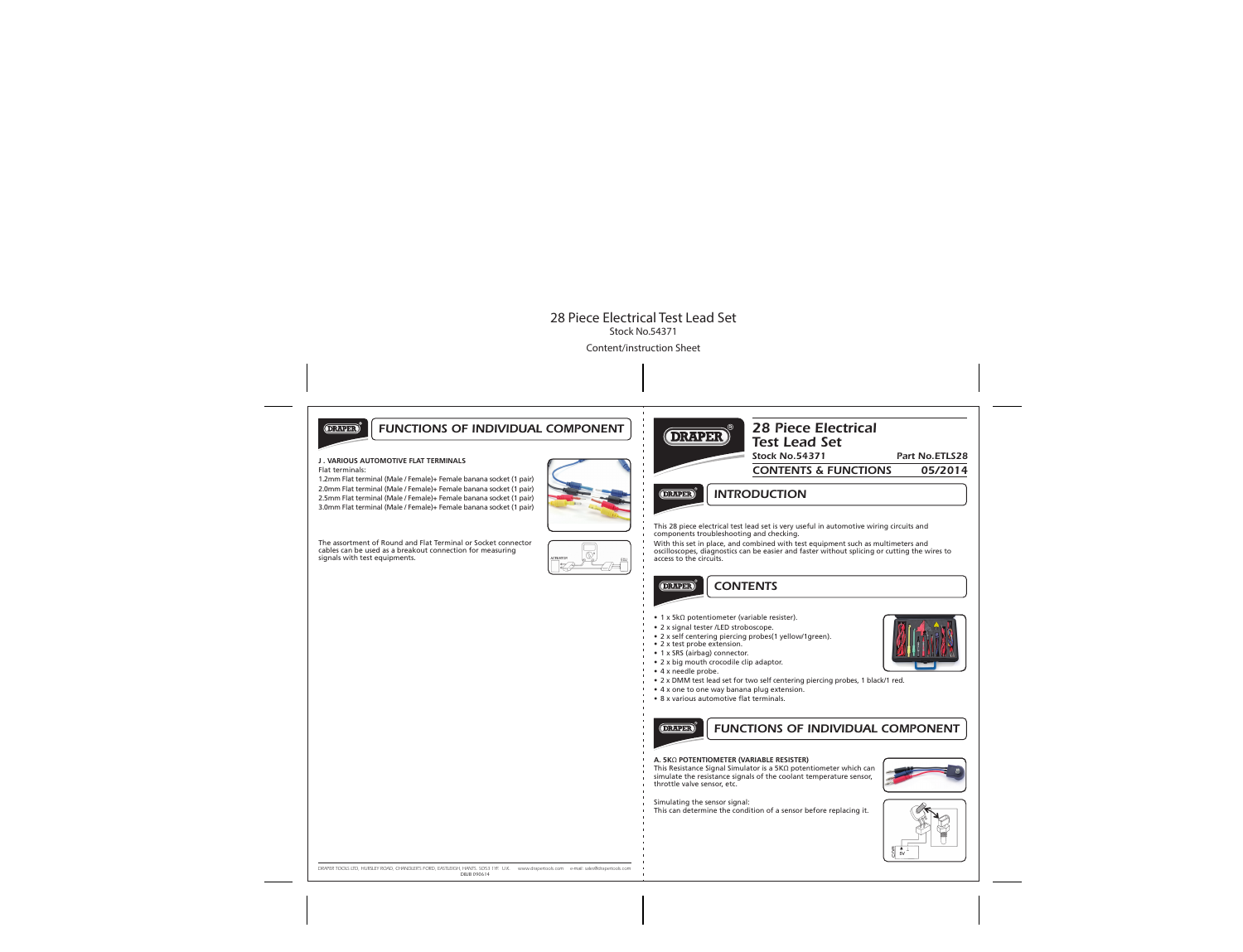

# *FUNCTIONS OF INDIVIDUAL COMPONENT*

#### **J . VARIOUS AUTOMOTIVE FLAT TERMINALS**

Flat terminals:

1.2mm Flat terminal (Male / Female)+ Female banana socket (1 pair) 2.0mm Flat terminal (Male / Female)+ Female banana socket (1 pair) 2.5mm Flat terminal (Male / Female)+ Female banana socket (1 pair) 3.0mm Flat terminal (Male / Female)+ Female banana socket (1 pair)



The assortment of Round and Flat Terminal or Socket connector cables can be used as a breakout connection for measuring signals with test equipments.





# *28 Piece Electrical Test Lead Set*

*Stock No.54371 Part No.ETLS28*

*CONTENTS & FUNCTIONS 05/2014*

**DRAPER** 

*INTRODUCTION*

This 28 piece electrical test lead set is very useful in automotive wiring circuits and components troubleshooting and checking.

With this set in place, and combined with test equipment such as multimeters and oscilloscopes, diagnostics can be easier and faster without splicing or cutting the wires to access to the circuits.

# *CONTENTS*

- 1 x 5kΩ potentiometer (variable resister).
- 2 x signal tester /LED stroboscope.
- 2 x self centering piercing probes(1 yellow/1green).
- 2 x test probe extension.
- 1 x SRS (airbag) connector.
- 2 x big mouth crocodile clip adaptor.
- 4 x needle probe.

**DRAPER** 

- 2 x DMM test lead set for two self centering piercing probes, 1 black/1 red.
- 4 x one to one way banana plug extension.
- 8 x various automotive flat terminals.



# *FUNCTIONS OF INDIVIDUAL COMPONENT*

### **A. 5K**Ω **POTENTIOMETER (VARIABLE RESISTER)**

This Resistance Signal Simulator is a 5KΩ potentiometer which can simulate the resistance signals of the coolant temperature sensor, throttle valve sensor, etc.



Simulating the sensor signal:

This can determine the condition of a sensor before replacing it.



*DRAPER TOOLS LTD, HURSLEY ROAD, CHANDLER'S FORD, EASTLEIGH, HANTS. SO53 1YF. U.K. www.drapertools.com e-mail: sales@drapertools.com DBJB 090614*